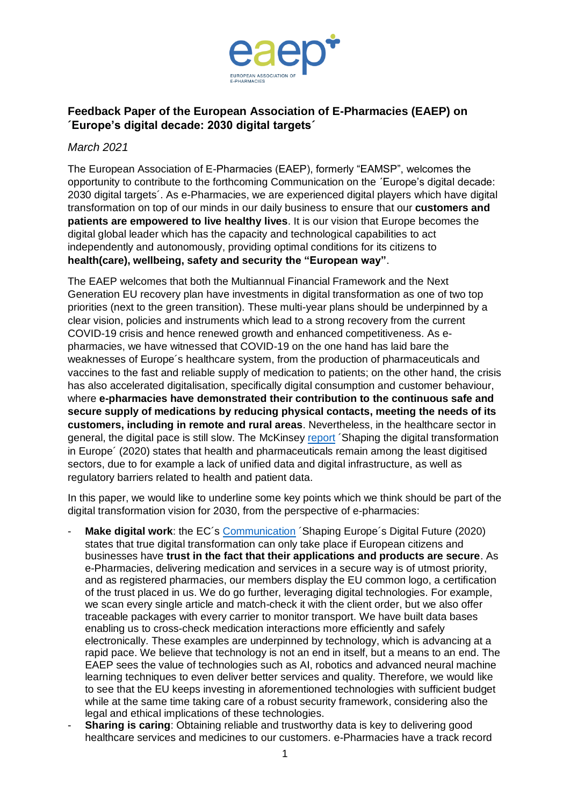

## **Feedback Paper of the European Association of E-Pharmacies (EAEP) on ´Europe's digital decade: 2030 digital targets´**

## *March 2021*

The European Association of E-Pharmacies (EAEP), formerly "EAMSP", welcomes the opportunity to contribute to the forthcoming Communication on the ´Europe's digital decade: 2030 digital targets´. As e-Pharmacies, we are experienced digital players which have digital transformation on top of our minds in our daily business to ensure that our **customers and patients are empowered to live healthy lives**. It is our vision that Europe becomes the digital global leader which has the capacity and technological capabilities to act independently and autonomously, providing optimal conditions for its citizens to **health(care), wellbeing, safety and security the "European way"**.

The EAEP welcomes that both the Multiannual Financial Framework and the Next Generation EU recovery plan have investments in digital transformation as one of two top priorities (next to the green transition). These multi-year plans should be underpinned by a clear vision, policies and instruments which lead to a strong recovery from the current COVID-19 crisis and hence renewed growth and enhanced competitiveness. As epharmacies, we have witnessed that COVID-19 on the one hand has laid bare the weaknesses of Europe´s healthcare system, from the production of pharmaceuticals and vaccines to the fast and reliable supply of medication to patients; on the other hand, the crisis has also accelerated digitalisation, specifically digital consumption and customer behaviour, where **e-pharmacies have demonstrated their contribution to the continuous safe and secure supply of medications by reducing physical contacts, meeting the needs of its customers, including in remote and rural areas**. Nevertheless, in the healthcare sector in general, the digital pace is still slow. The McKinsey [report](https://ec.europa.eu/digital-single-market/en/news/shaping-digital-transformation-europe) ´Shaping the digital transformation in Europe´ (2020) states that health and pharmaceuticals remain among the least digitised sectors, due to for example a lack of unified data and digital infrastructure, as well as regulatory barriers related to health and patient data.

In this paper, we would like to underline some key points which we think should be part of the digital transformation vision for 2030, from the perspective of e-pharmacies:

- **Make digital work:** the EC's [Communication](https://ec.europa.eu/info/sites/info/files/communication-shaping-europes-digital-future-feb2020_en_4.pdf) 'Shaping Europe's Digital Future (2020) states that true digital transformation can only take place if European citizens and businesses have **trust in the fact that their applications and products are secure**. As e-Pharmacies, delivering medication and services in a secure way is of utmost priority, and as registered pharmacies, our members display the EU common logo, a certification of the trust placed in us. We do go further, leveraging digital technologies. For example, we scan every single article and match-check it with the client order, but we also offer traceable packages with every carrier to monitor transport. We have built data bases enabling us to cross-check medication interactions more efficiently and safely electronically. These examples are underpinned by technology, which is advancing at a rapid pace. We believe that technology is not an end in itself, but a means to an end. The EAEP sees the value of technologies such as AI, robotics and advanced neural machine learning techniques to even deliver better services and quality. Therefore, we would like to see that the EU keeps investing in aforementioned technologies with sufficient budget while at the same time taking care of a robust security framework, considering also the legal and ethical implications of these technologies.
- **Sharing is caring:** Obtaining reliable and trustworthy data is key to delivering good healthcare services and medicines to our customers. e-Pharmacies have a track record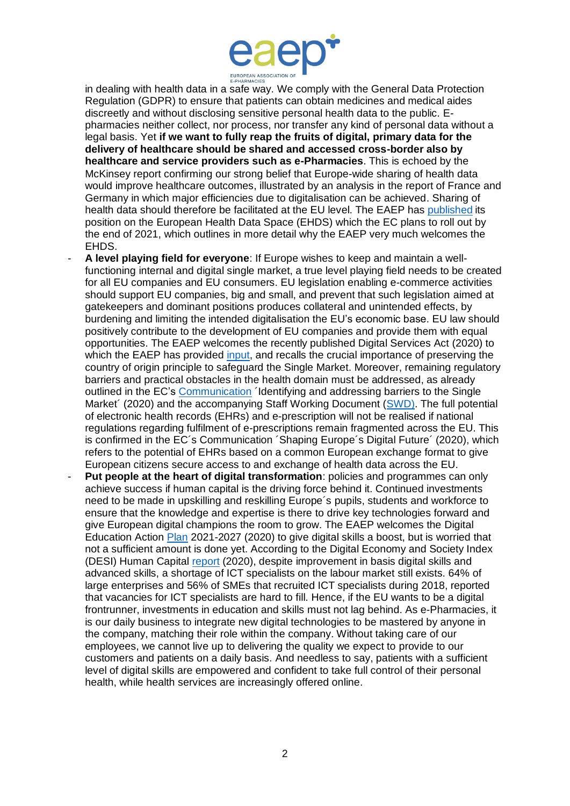

in dealing with health data in a safe way. We comply with the General Data Protection Regulation (GDPR) to ensure that patients can obtain medicines and medical aides discreetly and without disclosing sensitive personal health data to the public. Epharmacies neither collect, nor process, nor transfer any kind of personal data without a legal basis. Yet **if we want to fully reap the fruits of digital, primary data for the delivery of healthcare should be shared and accessed cross-border also by healthcare and service providers such as e-Pharmacies**. This is echoed by the McKinsey report confirming our strong belief that Europe-wide sharing of health data would improve healthcare outcomes, illustrated by an analysis in the report of France and Germany in which major efficiencies due to digitalisation can be achieved. Sharing of health data should therefore be facilitated at the EU level. The EAEP has [published](https://d1qmdf3vop2l07.cloudfront.net/doted-cashew.cloudvent.net/hash-store/0f7bfdd8d35d8a426d2c7aa6d841cff7.pdf) its position on the European Health Data Space (EHDS) which the EC plans to roll out by the end of 2021, which outlines in more detail why the EAEP very much welcomes the EHDS.

- **A level playing field for everyone**: If Europe wishes to keep and maintain a wellfunctioning internal and digital single market, a true level playing field needs to be created for all EU companies and EU consumers. EU legislation enabling e-commerce activities should support EU companies, big and small, and prevent that such legislation aimed at gatekeepers and dominant positions produces collateral and unintended effects, by burdening and limiting the intended digitalisation the EU's economic base. EU law should positively contribute to the development of EU companies and provide them with equal opportunities. The EAEP welcomes the recently published Digital Services Act (2020) to which the EAEP has provided [input,](https://d1qmdf3vop2l07.cloudfront.net/doted-cashew.cloudvent.net/hash-store/98e8f905c5a0cd258af2ad2fc4c9c04a.pdf) and recalls the crucial importance of preserving the country of origin principle to safeguard the Single Market. Moreover, remaining regulatory barriers and practical obstacles in the health domain must be addressed, as already outlined in the EC's [Communication](https://ec.europa.eu/info/sites/info/files/communication-eu-single-market-barriers-march-2020_en.pdf) ´Identifying and addressing barriers to the Single Market´ (2020) and the accompanying Staff Working Document [\(SWD\).](https://ec.europa.eu/info/sites/info/files/eu-single-market-barriers-staff-working-document_en.pdf) The full potential of electronic health records (EHRs) and e-prescription will not be realised if national regulations regarding fulfilment of e-prescriptions remain fragmented across the EU. This is confirmed in the EC´s Communication ´Shaping Europe´s Digital Future´ (2020), which refers to the potential of EHRs based on a common European exchange format to give European citizens secure access to and exchange of health data across the EU.
- **Put people at the heart of digital transformation:** policies and programmes can only achieve success if human capital is the driving force behind it. Continued investments need to be made in upskilling and reskilling Europe´s pupils, students and workforce to ensure that the knowledge and expertise is there to drive key technologies forward and give European digital champions the room to grow. The EAEP welcomes the Digital Education Action [Plan](https://eur-lex.europa.eu/legal-content/EN/TXT/PDF/?uri=CELEX:52020DC0624&from=EN) 2021-2027 (2020) to give digital skills a boost, but is worried that not a sufficient amount is done yet. According to the Digital Economy and Society Index (DESI) Human Capital [report](https://ec.europa.eu/newsroom/dae/document.cfm?doc_id=67077) (2020), despite improvement in basis digital skills and advanced skills, a shortage of ICT specialists on the labour market still exists. 64% of large enterprises and 56% of SMEs that recruited ICT specialists during 2018, reported that vacancies for ICT specialists are hard to fill. Hence, if the EU wants to be a digital frontrunner, investments in education and skills must not lag behind. As e-Pharmacies, it is our daily business to integrate new digital technologies to be mastered by anyone in the company, matching their role within the company. Without taking care of our employees, we cannot live up to delivering the quality we expect to provide to our customers and patients on a daily basis. And needless to say, patients with a sufficient level of digital skills are empowered and confident to take full control of their personal health, while health services are increasingly offered online.